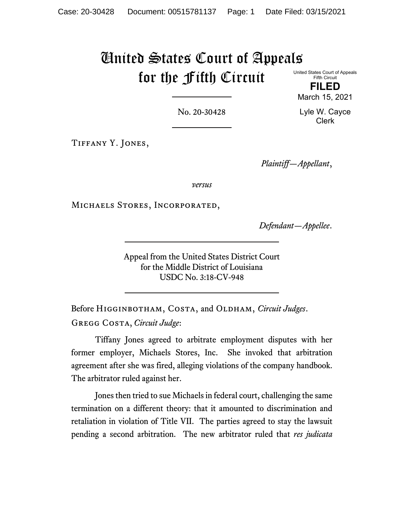# United States Court of Appeals for the Fifth Circuit United States Court of Appeals

Fifth Circuit **FILED**

No. 20-30428

Lyle W. Cayce Clerk

March 15, 2021

Tiffany Y. Jones,

*Plaintiff—Appellant*,

*versus*

Michaels Stores, Incorporated,

*Defendant—Appellee*.

Appeal from the United States District Court for the Middle District of Louisiana USDC No. 3:18-CV-948

Before HIGGINBOTHAM, COSTA, and OLDHAM, *Circuit Judges*. Gregg Costa, *Circuit Judge*:

Tiffany Jones agreed to arbitrate employment disputes with her former employer, Michaels Stores, Inc. She invoked that arbitration agreement after she was fired, alleging violations of the company handbook. The arbitrator ruled against her.

Jones then tried to sue Michaels in federal court, challenging the same termination on a different theory: that it amounted to discrimination and retaliation in violation of Title VII. The parties agreed to stay the lawsuit pending a second arbitration. The new arbitrator ruled that *res judicata*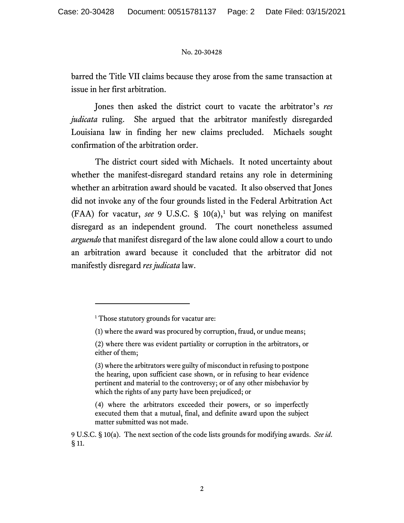barred the Title VII claims because they arose from the same transaction at issue in her first arbitration.

Jones then asked the district court to vacate the arbitrator's *res judicata* ruling. She argued that the arbitrator manifestly disregarded Louisiana law in finding her new claims precluded. Michaels sought confirmation of the arbitration order.

The district court sided with Michaels. It noted uncertainty about whether the manifest-disregard standard retains any role in determining whether an arbitration award should be vacated. It also observed that Jones did not invoke any of the four grounds listed in the Federal Arbitration Act (FAA) for vacatur, *see* 9 U.S.C. §  $10(a)$  $10(a)$ ,<sup>1</sup> but was relying on manifest disregard as an independent ground. The court nonetheless assumed *arguendo* that manifest disregard of the law alone could allow a court to undo an arbitration award because it concluded that the arbitrator did not manifestly disregard *res judicata* law.

<span id="page-1-0"></span><sup>&</sup>lt;sup>1</sup> Those statutory grounds for vacatur are:

<sup>(1)</sup> where the award was procured by corruption, fraud, or undue means;

<sup>(2)</sup> where there was evident partiality or corruption in the arbitrators, or either of them;

<sup>(3)</sup> where the arbitrators were guilty of misconduct in refusing to postpone the hearing, upon sufficient case shown, or in refusing to hear evidence pertinent and material to the controversy; or of any other misbehavior by which the rights of any party have been prejudiced; or

<sup>(4)</sup> where the arbitrators exceeded their powers, or so imperfectly executed them that a mutual, final, and definite award upon the subject matter submitted was not made.

<sup>9</sup> U.S.C. § 10(a). The next section of the code lists grounds for modifying awards. *See id*. § 11.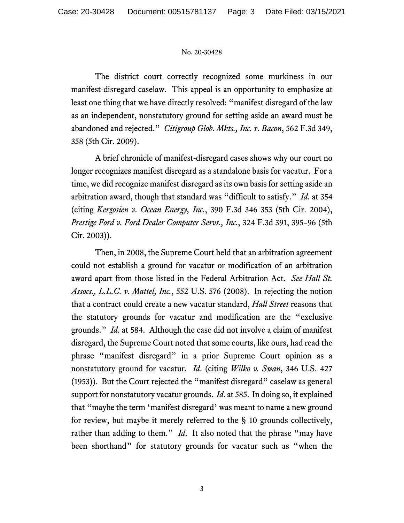The district court correctly recognized some murkiness in our manifest-disregard caselaw. This appeal is an opportunity to emphasize at least one thing that we have directly resolved: "manifest disregard of the law as an independent, nonstatutory ground for setting aside an award must be abandoned and rejected." *Citigroup Glob. Mkts., Inc. v. Bacon*, 562 F.3d 349, 358 (5th Cir. 2009).

A brief chronicle of manifest-disregard cases shows why our court no longer recognizes manifest disregard as a standalone basis for vacatur. For a time, we did recognize manifest disregard as its own basis for setting aside an arbitration award, though that standard was "difficult to satisfy." *Id*. at 354 (citing *Kergosien v. Ocean Energy, Inc.*, 390 F.3d 346 353 (5th Cir. 2004), *Prestige Ford v. Ford Dealer Computer Servs., Inc.*, 324 F.3d 391, 395–96 (5th Cir. 2003)).

Then, in 2008, the Supreme Court held that an arbitration agreement could not establish a ground for vacatur or modification of an arbitration award apart from those listed in the Federal Arbitration Act. *See Hall St. Assocs., L.L.C. v. Mattel, Inc.*, 552 U.S. 576 (2008). In rejecting the notion that a contract could create a new vacatur standard, *Hall Street* reasons that the statutory grounds for vacatur and modification are the "exclusive grounds." *Id*. at 584. Although the case did not involve a claim of manifest disregard, the Supreme Court noted that some courts, like ours, had read the phrase "manifest disregard" in a prior Supreme Court opinion as a nonstatutory ground for vacatur. *Id*. (citing *Wilko v. Swan*, 346 U.S. 427 (1953)). But the Court rejected the "manifest disregard" caselaw as general support for nonstatutory vacatur grounds. *Id*. at 585. In doing so, it explained that "maybe the term 'manifest disregard' was meant to name a new ground for review, but maybe it merely referred to the § 10 grounds collectively, rather than adding to them." *Id*. It also noted that the phrase "may have been shorthand" for statutory grounds for vacatur such as "when the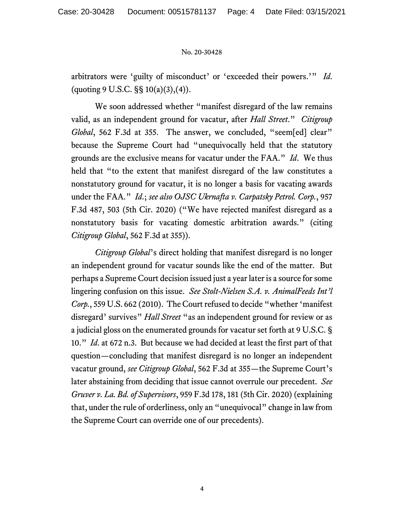arbitrators were 'guilty of misconduct' or 'exceeded their powers.'" *Id*. (quoting 9 U.S.C.  $\S$ § 10(a)(3),(4)).

We soon addressed whether "manifest disregard of the law remains valid, as an independent ground for vacatur, after *Hall Street*." *Citigroup Global*, 562 F.3d at 355. The answer, we concluded, "seem[ed] clear" because the Supreme Court had "unequivocally held that the statutory grounds are the exclusive means for vacatur under the FAA." *Id*. We thus held that "to the extent that manifest disregard of the law constitutes a nonstatutory ground for vacatur, it is no longer a basis for vacating awards under the FAA." *Id*.; *see also OJSC Ukrnafta v. Carpatsky Petrol. Corp.*, 957 F.3d 487, 503 (5th Cir. 2020) ("We have rejected manifest disregard as a nonstatutory basis for vacating domestic arbitration awards." (citing *Citigroup Global*, 562 F.3d at 355)).

*Citigroup Global*'s direct holding that manifest disregard is no longer an independent ground for vacatur sounds like the end of the matter. But perhaps a Supreme Court decision issued just a year later is a source for some lingering confusion on this issue. *See Stolt-Nielsen S.A. v. AnimalFeeds Int'l Corp.*, 559 U.S. 662 (2010). The Court refused to decide "whether 'manifest disregard' survives" *Hall Street* "as an independent ground for review or as a judicial gloss on the enumerated grounds for vacatur set forth at 9 U.S.C. § 10." *Id*. at 672 n.3. But because we had decided at least the first part of that question—concluding that manifest disregard is no longer an independent vacatur ground, *see Citigroup Global*, 562 F.3d at 355—the Supreme Court's later abstaining from deciding that issue cannot overrule our precedent. *See Gruver v. La. Bd. of Supervisors*, 959 F.3d 178, 181 (5th Cir. 2020) (explaining that, under the rule of orderliness, only an "unequivocal" change in law from the Supreme Court can override one of our precedents).